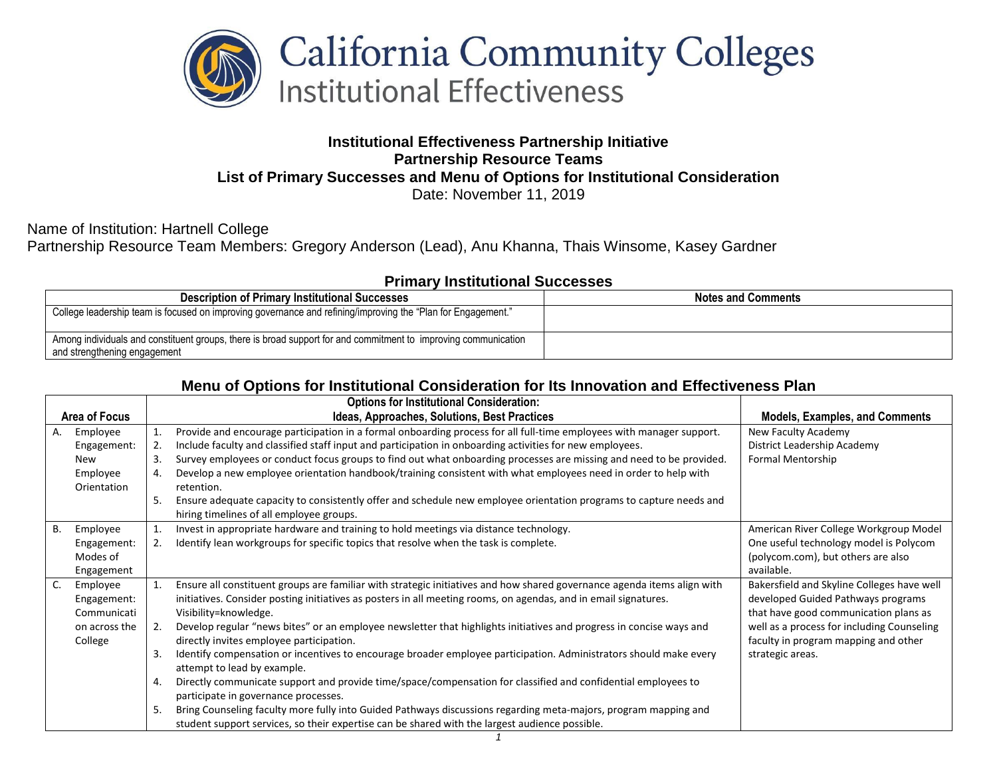

## **Institutional Effectiveness Partnership Initiative Partnership Resource Teams List of Primary Successes and Menu of Options for Institutional Consideration** Date: November 11, 2019

Name of Institution: Hartnell College Partnership Resource Team Members: Gregory Anderson (Lead), Anu Khanna, Thais Winsome, Kasey Gardner

## **Primary Institutional Successes**

| <b>Description of Primary Institutional Successes</b>                                                                                          | <b>Notes and Comments</b> |
|------------------------------------------------------------------------------------------------------------------------------------------------|---------------------------|
| College leadership team is focused on improving governance and refining/improving the "Plan for Engagement."                                   |                           |
| Among individuals and constituent groups, there is broad support for and commitment to improving communication<br>and strengthening engagement |                           |

## **Menu of Options for Institutional Consideration for Its Innovation and Effectiveness Plan**

|               |               |    | <b>Options for Institutional Consideration:</b>                                                                         |                                            |
|---------------|---------------|----|-------------------------------------------------------------------------------------------------------------------------|--------------------------------------------|
| Area of Focus |               |    | Ideas, Approaches, Solutions, Best Practices                                                                            | <b>Models, Examples, and Comments</b>      |
| А.            | Employee      |    | Provide and encourage participation in a formal onboarding process for all full-time employees with manager support.    | New Faculty Academy                        |
|               | Engagement:   | 2. | Include faculty and classified staff input and participation in onboarding activities for new employees.                | District Leadership Academy                |
|               | New           | 3. | Survey employees or conduct focus groups to find out what onboarding processes are missing and need to be provided.     | Formal Mentorship                          |
|               | Employee      |    | Develop a new employee orientation handbook/training consistent with what employees need in order to help with          |                                            |
|               | Orientation   |    | retention.                                                                                                              |                                            |
|               |               | 5. | Ensure adequate capacity to consistently offer and schedule new employee orientation programs to capture needs and      |                                            |
|               |               |    | hiring timelines of all employee groups.                                                                                |                                            |
| В.            | Employee      |    | Invest in appropriate hardware and training to hold meetings via distance technology.                                   | American River College Workgroup Model     |
|               | Engagement:   | 2. | Identify lean workgroups for specific topics that resolve when the task is complete.                                    | One useful technology model is Polycom     |
|               | Modes of      |    |                                                                                                                         | (polycom.com), but others are also         |
|               | Engagement    |    |                                                                                                                         | available.                                 |
| C.            | Employee      |    | Ensure all constituent groups are familiar with strategic initiatives and how shared governance agenda items align with | Bakersfield and Skyline Colleges have well |
|               | Engagement:   |    | initiatives. Consider posting initiatives as posters in all meeting rooms, on agendas, and in email signatures.         | developed Guided Pathways programs         |
|               | Communicati   |    | Visibility=knowledge.                                                                                                   | that have good communication plans as      |
|               | on across the | 2. | Develop regular "news bites" or an employee newsletter that highlights initiatives and progress in concise ways and     | well as a process for including Counseling |
|               | College       |    | directly invites employee participation.                                                                                | faculty in program mapping and other       |
|               |               | 3. | Identify compensation or incentives to encourage broader employee participation. Administrators should make every       | strategic areas.                           |
|               |               |    | attempt to lead by example.                                                                                             |                                            |
|               |               | 4. | Directly communicate support and provide time/space/compensation for classified and confidential employees to           |                                            |
|               |               |    | participate in governance processes.                                                                                    |                                            |
|               |               | 5. | Bring Counseling faculty more fully into Guided Pathways discussions regarding meta-majors, program mapping and         |                                            |
|               |               |    | student support services, so their expertise can be shared with the largest audience possible.                          |                                            |